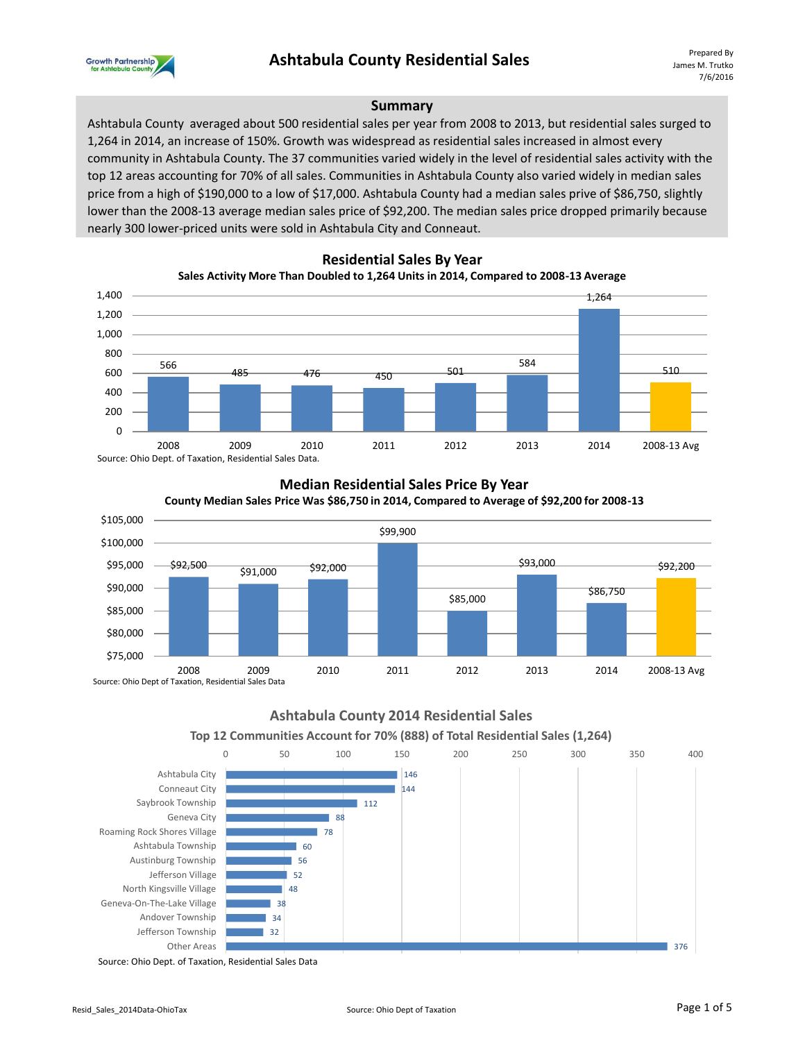

#### **Summary**

Ashtabula County averaged about 500 residential sales per year from 2008 to 2013, but residential sales surged to 1,264 in 2014, an increase of 150%. Growth was widespread as residential sales increased in almost every community in Ashtabula County. The 37 communities varied widely in the level of residential sales activity with the top 12 areas accounting for 70% of all sales. Communities in Ashtabula County also varied widely in median sales price from a high of \$190,000 to a low of \$17,000. Ashtabula County had a median sales prive of \$86,750, slightly lower than the 2008-13 average median sales price of \$92,200. The median sales price dropped primarily because nearly 300 lower-priced units were sold in Ashtabula City and Conneaut.



## **Residential Sales By Year**

# Source: Ohio Dept. of Taxation, Residential Sales Data.



# **Median Residential Sales Price By Year**

**Ashtabula County 2014 Residential Sales**



2008 2009 2010 2011 2012 2013 2014 2008-13 Avg



Source: Ohio Dept. of Taxation, Residential Sales Data

Source: Ohio Dept of Taxation, Residential Sales Data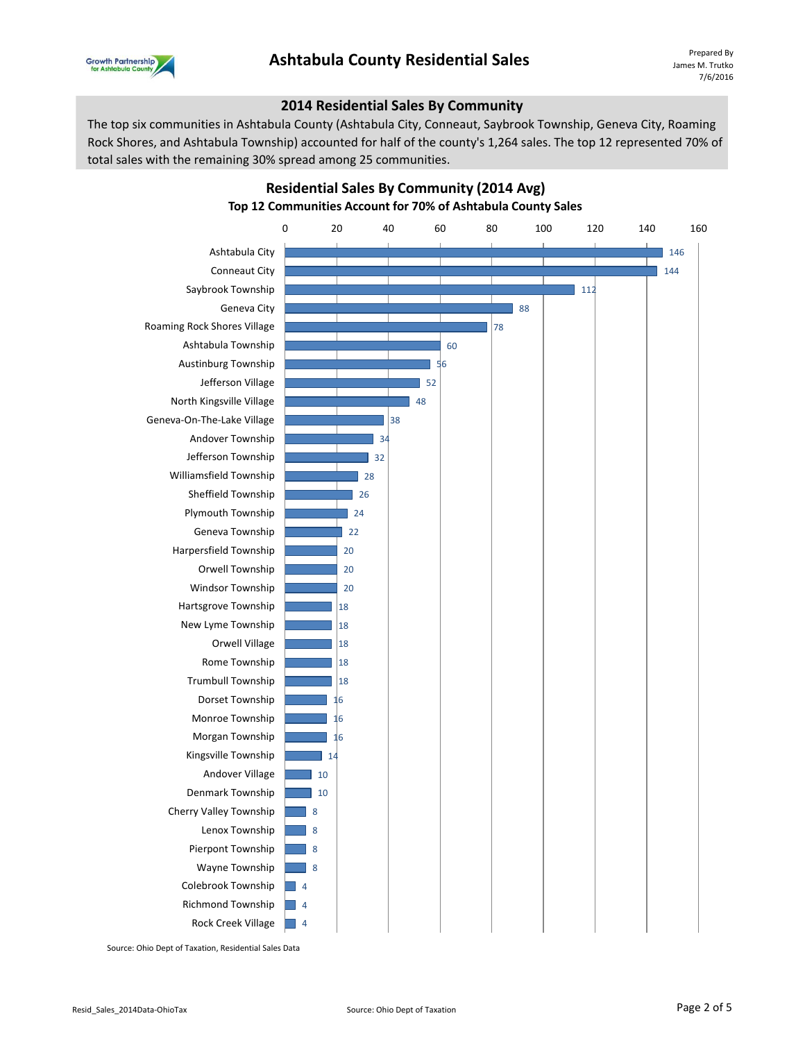

#### **2014 Residential Sales By Community**

The top six communities in Ashtabula County (Ashtabula City, Conneaut, Saybrook Township, Geneva City, Roaming Rock Shores, and Ashtabula Township) accounted for half of the county's 1,264 sales. The top 12 represented 70% of total sales with the remaining 30% spread among 25 communities.



**Residential Sales By Community (2014 Avg) Top 12 Communities Account for 70% of Ashtabula County Sales** 

Source: Ohio Dept of Taxation, Residential Sales Data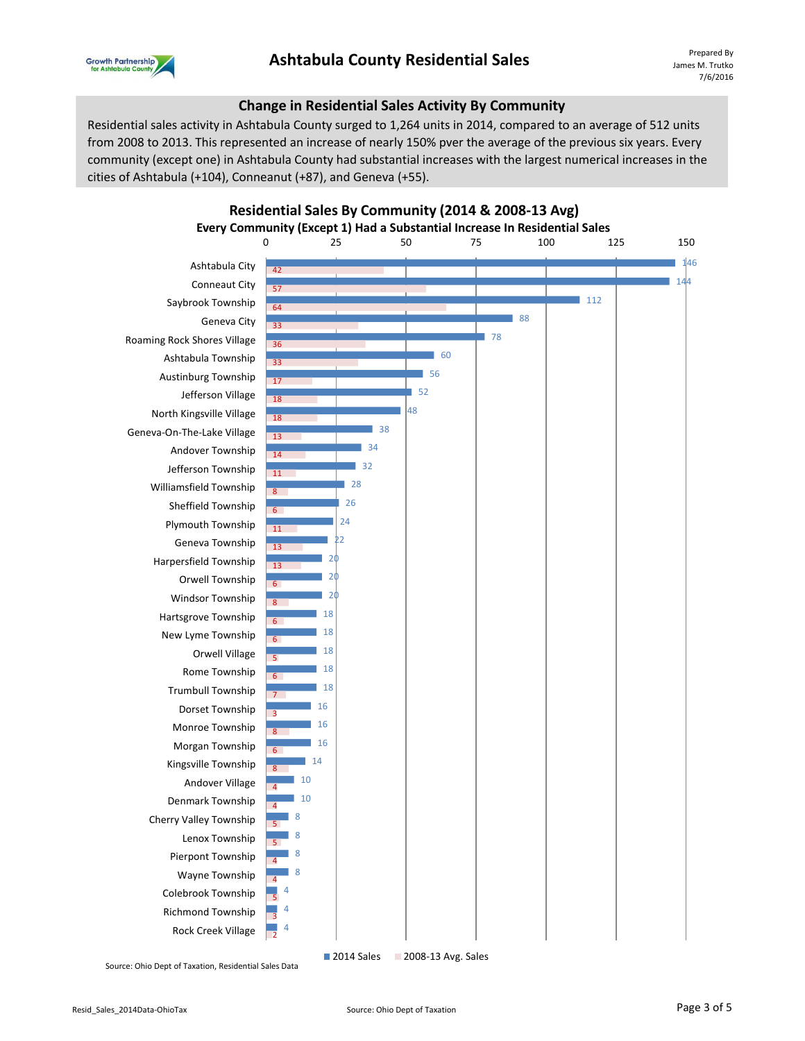

#### **Change in Residential Sales Activity By Community**

Residential sales activity in Ashtabula County surged to 1,264 units in 2014, compared to an average of 512 units from 2008 to 2013. This represented an increase of nearly 150% pver the average of the previous six years. Every community (except one) in Ashtabula County had substantial increases with the largest numerical increases in the cities of Ashtabula (+104), Conneanut (+87), and Geneva (+55).

**Residential Sales By Community (2014 & 2008-13 Avg)**



Source: Ohio Dept of Taxation, Residential Sales Data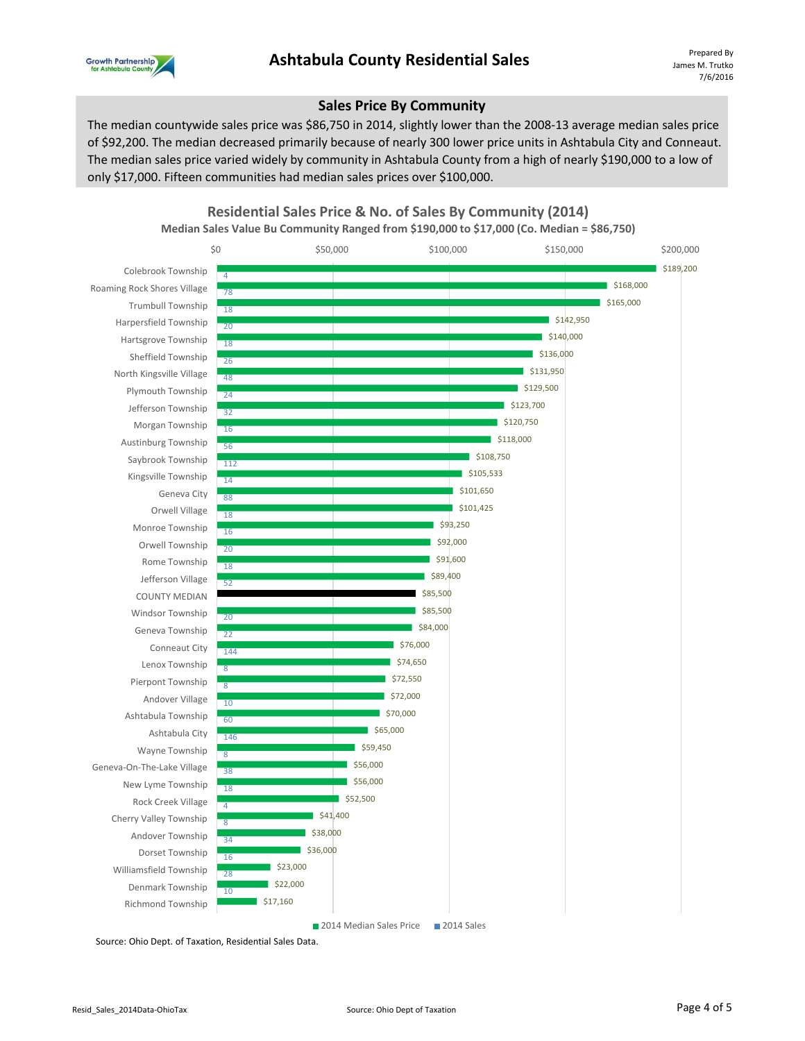

#### **Sales Price By Community**

The median countywide sales price was \$86,750 in 2014, slightly lower than the 2008-13 average median sales price of \$92,200. The median decreased primarily because of nearly 300 lower price units in Ashtabula City and Conneaut. The median sales price varied widely by community in Ashtabula County from a high of nearly \$190,000 to a low of only \$17,000. Fifteen communities had median sales prices over \$100,000.



**Residential Sales Price & No. of Sales By Community (2014)**

**Median Sales Value Bu Community Ranged from \$190,000 to \$17,000 (Co. Median = \$86,750)**

Source: Ohio Dept. of Taxation, Residential Sales Data.